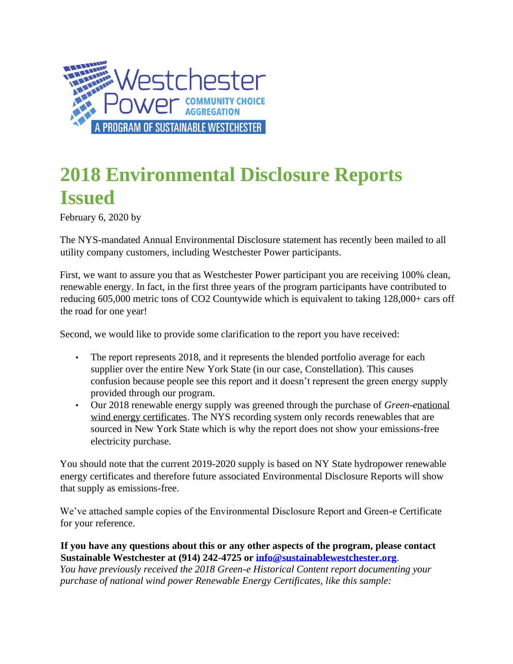

## **2018 Environmental Disclosure Reports Issued**

February 6, 2020 by

The NYS-mandated Annual Environmental Disclosure statement has recently been mailed to all utility company customers, including Westchester Power participants.

First, we want to assure you that as Westchester Power participant you are receiving 100% clean, renewable energy. In fact, in the first three years of the program participants have contributed to reducing 605,000 metric tons of CO2 Countywide which is equivalent to taking 128,000+ cars off the road for one year!

Second, we would like to provide some clarification to the report you have received:

- The report represents 2018, and it represents the blended portfolio average for each supplier over the entire New York State (in our case, Constellation). This causes confusion because people see this report and it doesn't represent the green energy supply provided through our program.
- Our 2018 renewable energy supply was greened through the purchase of *Green-e*national wind energy certificates. The NYS recording system only records renewables that are sourced in New York State which is why the report does not show your emissions-free electricity purchase.

You should note that the current 2019-2020 supply is based on NY State hydropower renewable energy certificates and therefore future associated Environmental Disclosure Reports will show that supply as emissions-free.

We've attached sample copies of the Environmental Disclosure Report and Green-e Certificate for your reference.

## **If you have any questions about this or any other aspects of the program, please contact Sustainable Westchester at (914) 242-4725 or info@sustainablewestchester.org**.

*You have previously received the 2018 Green-e Historical Content report documenting your purchase of national wind power Renewable Energy Certificates, like this sample:*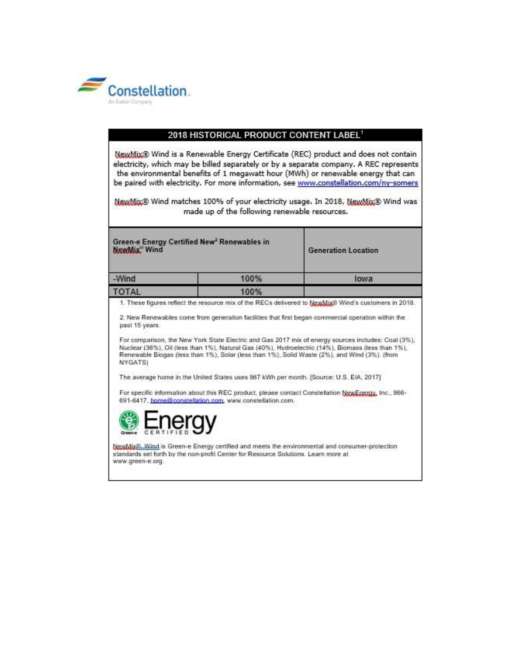

| 2018 HISTORICAL PRODUCT CONTENT LABEL1<br>NewMix® Wind is a Renewable Energy Certificate (REC) product and does not contain<br>electricity, which may be billed separately or by a separate company. A REC represents<br>the environmental benefits of 1 megawatt hour (MWh) or renewable energy that can<br>be paired with electricity. For more information, see www.constellation.com/ny-somers<br>NewMix® Wind matches 100% of your electricity usage. In 2018, NewMix® Wind was<br>made up of the following renewable resources. |      |                                                                                                                                                                                                                                                                                                                                                                                                                                                                                                                         |
|---------------------------------------------------------------------------------------------------------------------------------------------------------------------------------------------------------------------------------------------------------------------------------------------------------------------------------------------------------------------------------------------------------------------------------------------------------------------------------------------------------------------------------------|------|-------------------------------------------------------------------------------------------------------------------------------------------------------------------------------------------------------------------------------------------------------------------------------------------------------------------------------------------------------------------------------------------------------------------------------------------------------------------------------------------------------------------------|
|                                                                                                                                                                                                                                                                                                                                                                                                                                                                                                                                       |      |                                                                                                                                                                                                                                                                                                                                                                                                                                                                                                                         |
| -Wind                                                                                                                                                                                                                                                                                                                                                                                                                                                                                                                                 | 100% | lowa                                                                                                                                                                                                                                                                                                                                                                                                                                                                                                                    |
| <b>TOTAL</b>                                                                                                                                                                                                                                                                                                                                                                                                                                                                                                                          | 100% |                                                                                                                                                                                                                                                                                                                                                                                                                                                                                                                         |
| past 15 years.<br>NYGATS)<br>The average home in the United States uses 867 kWh per month. [Source: U.S. EIA, 2017]<br>691-6417. home@constellation.com, www.constellation.com.                                                                                                                                                                                                                                                                                                                                                       |      | 2. New Renewables come from generation facilities that first began commercial operation within the<br>For comparison, the New York State Electric and Gas 2017 mix of energy sources includes: Coal (3%),<br>Nuclear (36%), Oil (less than 1%), Natural Gas (40%), Hydroelectric (14%), Biomass (less than 1%),<br>Renewable Biogas (less than 1%), Solar (less than 1%), Solid Waste (2%), and Wind (3%). (from<br>For specific information about this REC product, please contact Constellation NewEnergy, Inc., 866- |
| lergy                                                                                                                                                                                                                                                                                                                                                                                                                                                                                                                                 |      | NewMix®. Wind is Green-e Energy certified and meets the environmental and consumer-protection                                                                                                                                                                                                                                                                                                                                                                                                                           |
| standards set forth by the non-profit Center for Resource Solutions. Learn more at<br>www.green-e.org                                                                                                                                                                                                                                                                                                                                                                                                                                 |      |                                                                                                                                                                                                                                                                                                                                                                                                                                                                                                                         |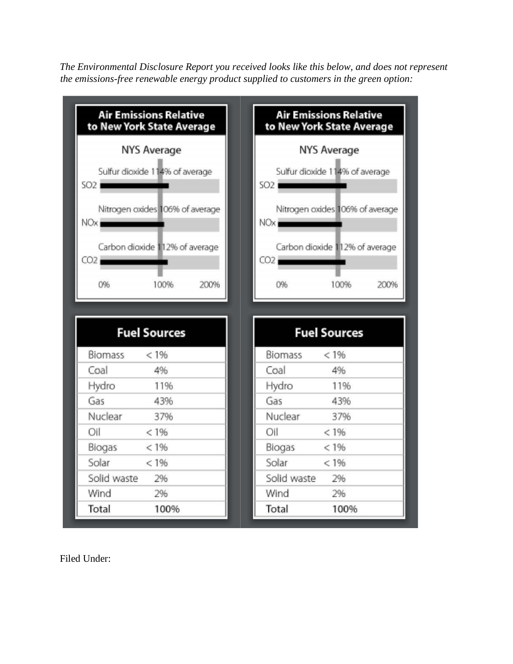*The Environmental Disclosure Report you received looks like this below, and does not represent the emissions-free renewable energy product supplied to customers in the green option:*



Filed Under: